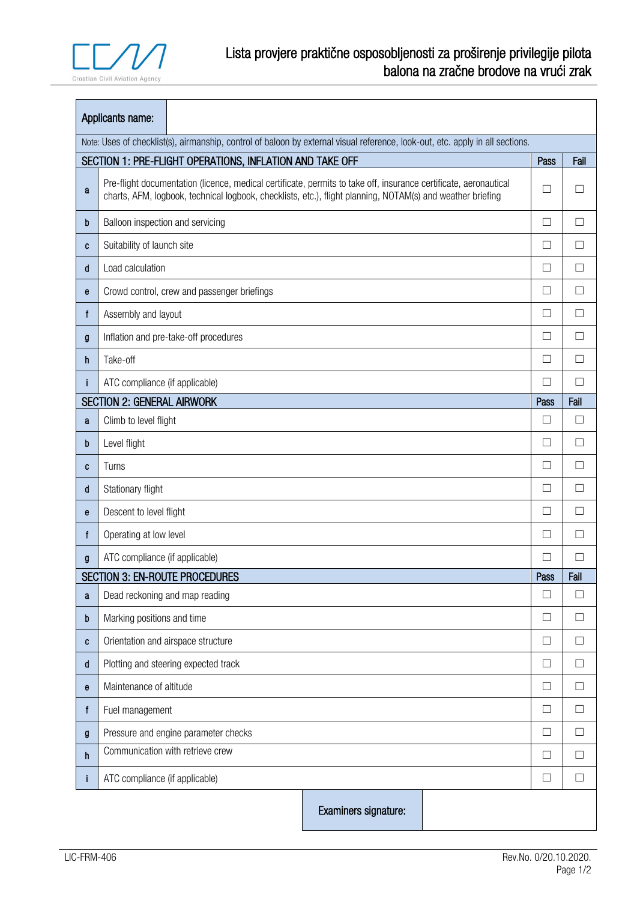$\blacksquare$ 

| Applicants name:                                                                                                              |                                                                                                                                                                                                                                |                      |        |        |                   |  |  |  |  |
|-------------------------------------------------------------------------------------------------------------------------------|--------------------------------------------------------------------------------------------------------------------------------------------------------------------------------------------------------------------------------|----------------------|--------|--------|-------------------|--|--|--|--|
| Note: Uses of checklist(s), airmanship, control of baloon by external visual reference, look-out, etc. apply in all sections. |                                                                                                                                                                                                                                |                      |        |        |                   |  |  |  |  |
|                                                                                                                               | SECTION 1: PRE-FLIGHT OPERATIONS, INFLATION AND TAKE OFF                                                                                                                                                                       |                      |        |        |                   |  |  |  |  |
| a                                                                                                                             | Pre-flight documentation (licence, medical certificate, permits to take off, insurance certificate, aeronautical<br>charts, AFM, logbook, technical logbook, checklists, etc.), flight planning, NOTAM(s) and weather briefing |                      |        | $\Box$ | $\Box$            |  |  |  |  |
| b                                                                                                                             | Balloon inspection and servicing                                                                                                                                                                                               |                      |        | □      | П                 |  |  |  |  |
| C                                                                                                                             | Suitability of launch site                                                                                                                                                                                                     |                      |        | $\Box$ | П                 |  |  |  |  |
| d                                                                                                                             | Load calculation                                                                                                                                                                                                               |                      |        | □      | П                 |  |  |  |  |
| e                                                                                                                             | Crowd control, crew and passenger briefings                                                                                                                                                                                    |                      |        | ⊔      | $\Box$            |  |  |  |  |
| f                                                                                                                             | Assembly and layout                                                                                                                                                                                                            |                      |        | $\Box$ | П                 |  |  |  |  |
| g                                                                                                                             | Inflation and pre-take-off procedures                                                                                                                                                                                          |                      |        | $\Box$ | П                 |  |  |  |  |
| h                                                                                                                             | Take-off                                                                                                                                                                                                                       |                      |        | $\Box$ | $\Box$            |  |  |  |  |
|                                                                                                                               | ATC compliance (if applicable)                                                                                                                                                                                                 |                      | П      | П      |                   |  |  |  |  |
|                                                                                                                               | <b>SECTION 2: GENERAL AIRWORK</b>                                                                                                                                                                                              |                      | Pass   | Fail   |                   |  |  |  |  |
| a                                                                                                                             | Climb to level flight                                                                                                                                                                                                          |                      |        | □      | $\Box$            |  |  |  |  |
| b                                                                                                                             | Level flight                                                                                                                                                                                                                   |                      |        | $\Box$ | □                 |  |  |  |  |
| C                                                                                                                             | Turns                                                                                                                                                                                                                          |                      | □      | П      |                   |  |  |  |  |
| d                                                                                                                             | Stationary flight                                                                                                                                                                                                              |                      | $\Box$ | П      |                   |  |  |  |  |
| е                                                                                                                             | Descent to level flight                                                                                                                                                                                                        |                      | □      | П      |                   |  |  |  |  |
| f                                                                                                                             | Operating at low level                                                                                                                                                                                                         |                      | Ш      | $\Box$ |                   |  |  |  |  |
| g                                                                                                                             | ATC compliance (if applicable)                                                                                                                                                                                                 |                      |        | П      | $\Box$            |  |  |  |  |
|                                                                                                                               | <b>SECTION 3: EN-ROUTE PROCEDURES</b>                                                                                                                                                                                          |                      |        | Pass   | Fail              |  |  |  |  |
| a                                                                                                                             | Dead reckoning and map reading                                                                                                                                                                                                 |                      | $\Box$ | $\Box$ |                   |  |  |  |  |
| b                                                                                                                             | Marking positions and time                                                                                                                                                                                                     |                      |        | □      | $\vert \ \ \vert$ |  |  |  |  |
| C                                                                                                                             | Orientation and airspace structure                                                                                                                                                                                             |                      | □      | $\Box$ |                   |  |  |  |  |
| d                                                                                                                             | Plotting and steering expected track                                                                                                                                                                                           |                      |        | $\Box$ | $\Box$            |  |  |  |  |
| е                                                                                                                             | Maintenance of altitude                                                                                                                                                                                                        |                      | $\Box$ | $\Box$ |                   |  |  |  |  |
| f                                                                                                                             | Fuel management                                                                                                                                                                                                                |                      |        | $\Box$ | □                 |  |  |  |  |
| g                                                                                                                             | Pressure and engine parameter checks                                                                                                                                                                                           |                      |        | □      | П                 |  |  |  |  |
| h                                                                                                                             | Communication with retrieve crew                                                                                                                                                                                               |                      |        | $\Box$ | П                 |  |  |  |  |
| $\mathsf{I}$                                                                                                                  | ATC compliance (if applicable)                                                                                                                                                                                                 |                      |        | □      | $\Box$            |  |  |  |  |
|                                                                                                                               |                                                                                                                                                                                                                                | Examiners signature: |        |        |                   |  |  |  |  |